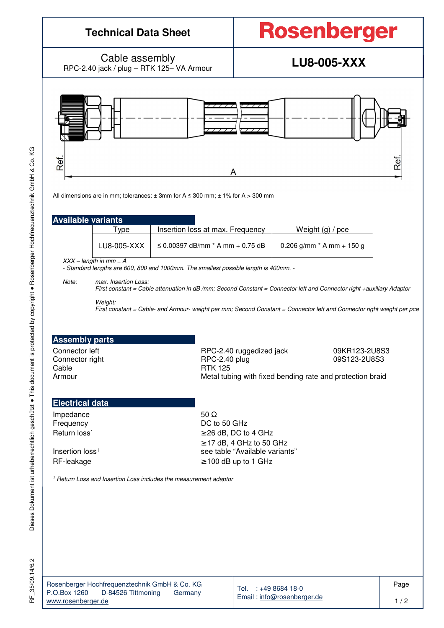

Armour **Metal tubing with fixed bending rate and protection braid**  $\blacksquare$ 

 $\geq$  17 dB, 4 GHz to 50 GHz

see table "Available variants"

ΧG

**Electrical data** 

Insertion loss<sup>1</sup>

| Rosenberger Hochfrequenztechnik GmbH & Co. KG |                    |         |  |  |  |  |  |  |
|-----------------------------------------------|--------------------|---------|--|--|--|--|--|--|
| P.O.Box 1260                                  | D-84526 Tittmoning | Germany |  |  |  |  |  |  |
| www.rosenberger.de                            |                    |         |  |  |  |  |  |  |

Impedance 50  $\Omega$ 

Frequency DC to 50 GHz

*1 Return Loss and Insertion Loss includes the measurement adaptor* 

Return  $loss<sup>1</sup>$   $\geq$  26 dB, DC to 4 GHz

RF-leakage ≥ 100 dB up to 1 GHz

Tel. : +49 8684 18-0 Email : info@rosenberger.de Page